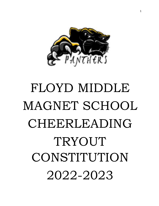

# FLOYD MIDDLE MAGNET SCHOOL CHEERLEADING TRYOUT CONSTITUTION 2022-2023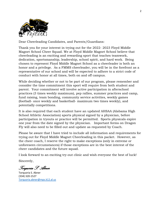

Dear Cheerleading Candidates, and Parents/Guardians:

Thank you for your interest in trying out for the 2022- 2023 Floyd Middle Magnet School Cheer Squad. We at Floyd Middle Magnet School believe that cheerleading is an exciting and rewarding sport that teaches teamwork, dedication, sportsmanship, leadership, school spirit, and hard work. Being chosen to represent Floyd Middle Magnet School as a cheerleader is both an honor and a privilege. As a FMMS cheerleader, you will be in the forefront as a representative of our school and will be expected to adhere to a strict code of conduct with honor at all times, both on and off campus.

While deciding whether or not to be part of our program, please remember and consider the time commitment this sport will require from both student and parent. Your commitment will involve active participation in afterschool practices (3 times weekly maximum), pep rallies, summer practices and camp, fund raising, team bonding, community service activities, weekly games (football- once weekly and basketball- maximum two times weekly), and potentially competitions.

It is also required that each student have an updated AHSAA (Alabama High School Athletic Association) sports physical signed by a physician, before participation in tryouts or practice will be permitted. Sports physicals expire one year from the date signed by the physician. Important forms on Dragon Fly will also need to be filled out and update as requested by Coach.

Please be aware that I have tried to include all information and requirements for trying out for Floyd Middle Magnet Cheerleading in this packet. However, as the cheer coach, I reserve the right to make exceptions (only in extreme or unforeseen circumstances) if those exceptions are in the best interest of the cheer candidates and the future squad.

I look forward to an exciting try-out clinic and wish everyone the best of luck!

Sincerely,

*Torquoria S. Abner* 

Torquoria S. Abner (334) 320-1527 [Torquoria.abner@mps.k12.al.us](mailto:Torquoria.abner@mps.k12.al.us)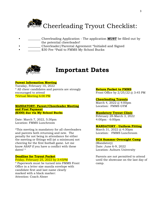

- **\_\_\_\_\_\_** Cheerleading Application The application **MUST** be filled out by the potential cheerleader!
- Cheerleader/Parental Agreement \*Initialed and Signed
- \$30 Fee \*Paid to FMMS My School Bucks



# **Important Dates**

#### **Parent Information Meeting**

Tuesday, February 10, 2022 \* All cheer candidates and parents are strongly encouraged to attend \*Virtual Meeting 6:00 PM

#### **MANDATORY- Parent/Cheerleader Meeting and First Payment (\$300) due via My School Bucks**

Date: March 7, 2022, 5:30pm Location: FMMS Lunchroom

\*This meeting is mandatory for all cheerleaders and parents both returning and new. The penalty for not being in attendance for either the meeting or fittings will (at a minimum) not cheering for the first football game. Let me know ASAP if you have a conflict with these dates! \*

#### **Deadline for Tryout Packet**

#### Friday, February 25, 2022 by 3:45PM

\* Paperwork must be turned into FMMS Front Office in a letter size manila envelope with candidate first and last name clearly marked with a black marker: Attention: Coach Abner

#### **Return Packet to FMMS**

Front Office by 2/25/22 @ 3:45 PM

#### **Cheerleading Tryouts**

March 4, 2022 @ 4:00pm Location: FMMS GYM

#### **Mandatory Tryout Clinic**

February 28-March 3, 2022 4:00pm - 6:00pm

#### **MANDATORY - Uniform Fitting**

March 31, 2022 @ 4:30pm Location: FMMS Lunchroom

#### **UCA Summer Overnight Camp**

(Mandatory) Date: June 6-9, 2022 Location: Auburn University

Parents are not permitted to attend until the showcase on the last day of camp.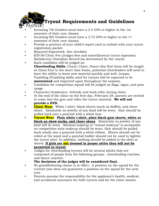# **Tryout Requirements and Guidelines**<br>NUCK!

- Incoming 7th Graders must have a 2.5 GPA or higher in the 1st semester of their core classes.
- Incoming 8th Graders must have a 2.75 GPA or higher in the 1st semester of their core classes.
- Provide a printout of your child's report card to submit with your tryout registration packet.
- Required Paperwork- See checklist
- \$30.00 Clinic Fee (Judges fees and miscellaneous tryout expenses) Satisfactory Discipline Record (as determined by the coach)
- Each candidate will be judged on:
- **Cheerleading Skills-** Chant; Cheer; Dance (the first three will be taught at clinic) Due to the short time frame, potential cheerleaders will need to have the ability to learn new material quickly and well; Jumps; Tumbling (Tumbling skills used for tryouts will be expected to be **maintained** and improved upon throughout the season);
- Candidate for competition squad will be judged on flags, signs, and pom usage.
- Character/Academics- Attitude and work ethic during clinic;
- At the end of the clinic on the first day, February 28, parents are invited to come into the gym and video the tryout material. **We will not provide a DVD.**
- **Clinic Wear**: White t-shirt, black shorts (such as Soffee), and cheer shoes. Absolutely no jewelry of any kind will be worn. Hair should be pulled back into a ponytail with a white bow.
- **Tryout Wear**: **Plain white t-shirt, plain black gym shorts, white or black no show socks, and cheer shoes**. Absolutely no jewelry of any kind will be worn. Minimal makeup or "school makeup" is acceptableno competition style makeup should be worn. Hair should be pulled back neatly into a ponytail with a white ribbon. Shorts should not be rolled at the waist and a ponytail holder should not be used to tighten the tryout shirt. In addition, nothing should be added to the shirt or shorts. **If girls are not dressed in proper attire they will not be permitted to tryout**.
- Judges for cheerleading tryouts will be neutral adults that are comprised of people from the following groups: cheerleading coaches, and dance coaches.

#### **The decisions of the judges will be considered final.**

- No grandfathering clause is in effect. A position on the squad for the current year does not guarantee a position on the squad for the next year.
- Parents assume the responsibility for the applicant's health, medical, and accidental insurance for both tryouts and for the cheer season.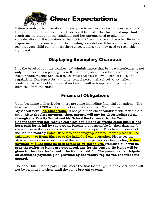

Before tryouts, it is imperative that everyone is well aware of what is expected and the standards to which our cheerleaders will be held. The three most important requirements that both the candidate and her parents need to take into consideration for the duration of the 2022-2023 year are good character, financial requirements, and our school's cheerleading constitution. If for some reason, you feel that your child cannot meet these expectations, you may need to reconsider trying out.

### Displaying Exemplary Character

It is the belief of both the coaches and administrators that being a cheerleader is not only an honor; it is a privilege as well. Therefore, should you be chosen to represent Floyd Middle Magnet School, it is essential that you follow all school rules and regulations. Disrespect for authority, school personnel, school policy, fellow students, etc. will not be tolerated and may result in temporary or permanent dismissal from the squad.

### Financial Obligations

Upon becoming a cheerleader, there are some immediate financial obligations. The first payment of \$300 will be due before or no later than March 7, via MySchoolBucks. **No Exceptions.** If not paid then cheer candidate will forfeit their spot. **After the first payment, then, parents will pay for cheerleading items through the Varsity Portal and My School Bucks, never to the Coach. Cheerleaders will not receive clothing**, **equipment or attend camp until it has been paid for in full by the parent**. Parents are responsible for their daughter's cheer bill even if she quits or is removed from the squad. The cheer bill does not include the monthly Bama Blaze fees or choreographer fees. Monthly fees will be paid directly to Bama Blaze or to the individual choreographer. Please see the attached sample for an estimate of the required expenses for cheerleading. **A down payment of \$300 must be paid before or by March 7th. Itemized bills will be sent thereafter as items are purchased/due for the season. No items will be given to the cheerleader until the item is paid for. The parent can anticipate an estimated payment plan provided by the varsity rep for the cheerleader's apparel.** 

The cheer bill must be paid in full before the first football game, the cheerleader will not be permitted to cheer until the bill is brought to term.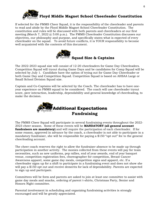

If selected for the FMMS Cheer Squad, it is the responsibility of the cheerleader and parents to read and abide by the Floyd Middle Magnet School Cheerleader Constitution. The constitution and rules will be discussed with both parents and cheerleaders at our first meeting (March 7, 2022 @ 5:00 p.m.). The FMMS Cheerleader Constitution discusses our objectives, our philosophy and purpose, and specifically states what is expected of every cheerleader on the squad. To avoid future conflicts, it is YOUR responsibility to become well acquainted with the contents of this document.



The 2022-2023 squad size will consist of 12-20 cheerleaders for Game Day Cheerleaders. Competition Squad will tryout during Game Days and be candidates for Comp Squad will be selected by July 1. Candidate have the option of trying out for Game Day Cheerleader or both Game Day and Competition Squad. Competition Squad is based on AHSAA Large or Small School Division Squad size.

Captain and Co-Captains will be selected by the Coach. The cheerleader has to have oneyear experience on FMMS squad to be considered. The coach will use cheerleader tryout score, peer interaction, leadership, dependability and general knowledge of cheerleading, to make the decision.



The FMMS Cheer Squad will participate in several fundraising events throughout the 2022- 2023 cheer season. Some of these events will be **MANDATORY (all general account fundraisers are mandatory)** and will require the participation of each cheerleader. If for some reason, approved in advance by the coach, a cheerleader is not able to participate in a mandatory fundraiser, she will be responsible for paying a \$150 "opt out" fee to the general cheerleading account.

The cheer coach reserves the right to allow the fundraiser absence to be made up through participation in another activity. The monies collected from these events will pay for team necessities, such as new uniforms, pep rallies, end of year awards, end of year banquet venue, competition registration fees, choreographer for competition, Breast Cancer Awareness apparel, some game day meals, competition signs and apparel, etc. If a cheerleader signs up for a shift to participate in a fundraising event and does not show she will pay a \$150 opt out and receive demerits for lack of dependability. Parents are expected to sign up and participate.

Committees will be form and parents are asked to join at least one committee to assist with game day meals and snacks, ordering of parent t-shirts, Christmas Party, Senior and Honors Night committee.

Parental involvement in scheduling and organizing fundraising activities is strongly encouraged and will be greatly appreciated.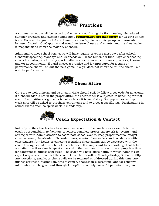

A summer schedule will be issued to the new squad during the first meeting. Scheduled summer practices and summer camp are a **requirement and mandatory** for all girls on the team. Girls will be given a BAND Communication App to facilitate group communication between Captain, Co-Captains and squad, to learn cheers and chants, and the cheerleader is responsible to know the majority of cheers.

Additionally, once school begins, we will have regular practices most days after school. Generally speaking, Mondays and Wednesdays. Please remember that Floyd cheerleading comes first, always before city sports, all-star cheer involvement, dance practices, lessons and/or appointments. If a girl misses a practice and is unprepared for a game or performance she will sit out the next game. If a girl does not know the routine she will sit out the performance.



Girls are to look uniform and as a team. Girls should strictly follow dress code for all events. If a cheerleader is not in the proper attire, the cheerleader is subjected to benching for that event. Event attire assignments is not a choice it is mandatory. For pep rallies and spirit week girls will be asked to purchase extra items and to dress a specific way. Participating in school events such as spirit week is mandatory.



Not only do the cheerleaders have an expectation but the coach does as well. It is the coach's responsibility to facilitate practices, complete proper paperwork for events, and strategize with Administration to coordinate school events, keep proper records, budget cheer account, cheerleader bills, order items, mentor cheerleaders and collaborate with cheerleaders. Any issues or concerns regarding cheerleading can be discussed with the coach through email or a scheduled conference. It is important to acknowledge that before and after practices time is spent supervising the team and this is not the appropriate time for conferences, unless scheduled. The coach will have office hours in which parents can expect responses or contact the coach. Office hours will be Monday-Friday, 8:00am-5:00pm. Any questions, emails, or phone calls we be returned or addressed during this time. Any further pertinent information, time of games, changes in places/time, and/or sensitive information will be given out through GroupMe on a daily basis. All parents must join.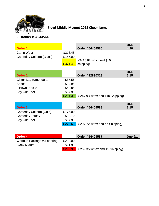

# **Floyd Middle Magnet 2022 Cheer Items**

### **Customer #34944564**

| Order 1                        |          | Order #54404585           | <b>DUE</b><br>4/20 |
|--------------------------------|----------|---------------------------|--------------------|
| Camp Wear                      | \$216.48 |                           |                    |
| <b>Gameday Uniform (Black)</b> | \$155.00 |                           |                    |
|                                |          | (\$418.62 w/tax and \$10) |                    |
|                                |          | $$371.48$ shipping)       |                    |

|                        |          |                                      | <b>DUE</b> |
|------------------------|----------|--------------------------------------|------------|
| Order 2                |          | Order #12830318                      | 5/15       |
| Glitter Bag w/monogram | \$87.55  |                                      |            |
| <b>Shoes</b>           | \$94.95  |                                      |            |
| 2 Bows, Socks          | \$63.85  |                                      |            |
| <b>Boy Cut Brief</b>   | \$14.95  |                                      |            |
|                        | \$261.30 | $($247.93 w/tax$ and $$10$ Shipping) |            |

|                        |          |                                  | <b>DUE</b> |
|------------------------|----------|----------------------------------|------------|
| Order 3                |          | Order #54404588                  | 7/15       |
| Gameday Uniform (Gold) | \$175.00 |                                  |            |
| <b>Gameday Jersey</b>  | \$80.70  |                                  |            |
| <b>Boy Cut Brief</b>   | \$14.95  |                                  |            |
|                        | \$270.65 | (\$297.72 w/tax and no Shipping) |            |

| Order 4                    |          | Order #54404587                                     | <b>Due 9/1</b> |
|----------------------------|----------|-----------------------------------------------------|----------------|
| Warmup Package w/Lettering | \$212.00 |                                                     |                |
| <b>Black Midriff</b>       | \$21.95  |                                                     |                |
|                            |          | $\sqrt{$233.95}$ (\$262.35 w/ tax and \$5 Shipping) |                |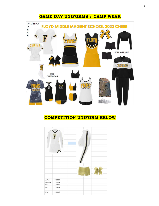### **GAME DAY UNIFORMS / CAMP WEAR**



### **COMPETITION UNIFORM BELOW**

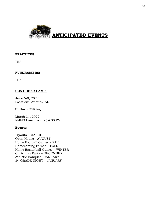

#### **PRACTICES:**

TBA

#### **FUNDRAISERS:**

TBA

#### **UCA CHEER CAMP:**

June 6-9, 2022 Location: Auburn, AL

#### **Uniform Fitting**

March 31, 2022 FMMS Lunchroom @ 4:30 PM

#### **Events:**

Tryouts – MARCH Open House - AUGUST Home Football Games – FALL Homecoming Parade – FALL Home Basketball Games – WINTER Christmas Party – DECEMBER Athletic Banquet - JANUARY 8th GRADE NIGHT – JANUARY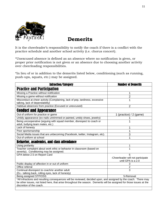

# **Demerits**

It is the cheerleader's responsibility to notify the coach if there is a conflict with the practice schedule and another school activity (i.e. chorus concert).

\*Unexcused absence is defined as an absence where no notification is given, or proper prior notification is not given or an absence due to choosing another activity over cheerleading responsibilities.

\*In lieu of or in addition to the demerits listed below, conditioning (such as running, push-ups, squats, etc.) may be assigned.

| <b>Infraction/Category</b>                                                                                                                                                                                                                                            | <b>Number of Demerits</b>                                    |
|-----------------------------------------------------------------------------------------------------------------------------------------------------------------------------------------------------------------------------------------------------------------------|--------------------------------------------------------------|
| <b>Practice and Participation</b>                                                                                                                                                                                                                                     |                                                              |
| Missing a Practice without notification                                                                                                                                                                                                                               | 1                                                            |
| Missing a game without notification                                                                                                                                                                                                                                   | $\overline{2}$                                               |
| Misconduct at cheer activity (Complaining, lack of pep, tardiness, excessive<br>talking, lack of dependability)                                                                                                                                                       | 1                                                            |
| Habitual absences from practice (Excused or unexcused)                                                                                                                                                                                                                | $\overline{2}$                                               |
| <b>Conduct and Appearance</b>                                                                                                                                                                                                                                         |                                                              |
| Out of uniform for practice or game                                                                                                                                                                                                                                   | 1 (practice) $/ 2$ (game)                                    |
| Untidy appearance (ex-nails untrimmed or painted, untidy shoes, jewelry)                                                                                                                                                                                              |                                                              |
| Being uncooperative (arguing with squad member, disrespect to coach or<br>adult, bullying team mates, etc.)                                                                                                                                                           |                                                              |
| Lack of honesty                                                                                                                                                                                                                                                       | 1                                                            |
| Poor sportsmanship                                                                                                                                                                                                                                                    | 1                                                            |
| Social Media issues that are unbecoming (Facebook, twitter, Instagram, etc).                                                                                                                                                                                          | 3                                                            |
| Out of uniform at school                                                                                                                                                                                                                                              | 1                                                            |
| <b>Behavior, academics, and class attendance</b>                                                                                                                                                                                                                      |                                                              |
| Using profanity                                                                                                                                                                                                                                                       | 1                                                            |
| Teacher complaint about work ethic or behavior in classroom (based on<br>severity). Conditioning may be assigned.                                                                                                                                                     | 1                                                            |
| GPA below 2.5 on Report Card                                                                                                                                                                                                                                          | 5<br>-Cheerleader will not participate<br>until GPA is a 2.0 |
| Public display of affection in or out of uniform                                                                                                                                                                                                                      | 3                                                            |
| Office referral                                                                                                                                                                                                                                                       | 2                                                            |
| Continual disrespect to coach/or another adult                                                                                                                                                                                                                        | 3                                                            |
| (Ex.- talking back, rolling eyes, lack of honesty)                                                                                                                                                                                                                    |                                                              |
| Being assigned STP/OSS                                                                                                                                                                                                                                                | 5-Removal                                                    |
| *All infractions and resulting consequences will be reviewed, decided upon, and assigned by the coach. There may<br>be other issues, not listed here, that arise throughout the season. Demerits will be assigned for those issues at the<br>discretion of the coach. |                                                              |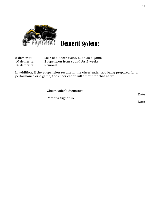

# Demerit System:

| 5 demerits:  | Loss of a cheer event, such as a game |
|--------------|---------------------------------------|
| 10 demerits: | Suspension from squad for 2 weeks     |
| 15 demerits: | Removal                               |

In addition, if the suspension results in the cheerleader not being prepared for a performance or a game, the cheerleader will sit out for that as well.

| Cheerleader's Signature |      |
|-------------------------|------|
|                         | Date |
| Parent's Signature      |      |
|                         | Date |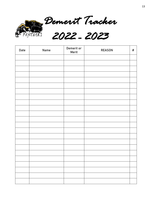

*Demerit Tracker*

*2022 - 2023* 

| Date | Name | Demerit or<br>Merit | <b>REASON</b> | $\#$ |
|------|------|---------------------|---------------|------|
|      |      |                     |               |      |
|      |      |                     |               |      |
|      |      |                     |               |      |
|      |      |                     |               |      |
|      |      |                     |               |      |
|      |      |                     |               |      |
|      |      |                     |               |      |
|      |      |                     |               |      |
|      |      |                     |               |      |
|      |      |                     |               |      |
|      |      |                     |               |      |
|      |      |                     |               |      |
|      |      |                     |               |      |
|      |      |                     |               |      |
|      |      |                     |               |      |
|      |      |                     |               |      |
|      |      |                     |               |      |
|      |      |                     |               |      |
|      |      |                     |               |      |
|      |      |                     |               |      |
|      |      |                     |               |      |
|      |      |                     |               |      |
|      |      |                     |               |      |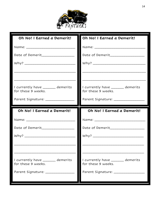

| Oh No! I Earned a Demerit!         | Oh No! I Earned a Demerit!           |
|------------------------------------|--------------------------------------|
|                                    |                                      |
| Date of Demerit_________________   | Date of Demerit                      |
|                                    |                                      |
|                                    |                                      |
|                                    |                                      |
| I currently have _____ demerits    | I currently have _____ demerits      |
| for these 9 weeks.                 | for these 9 weeks.                   |
| Parent Signature: ________________ | Parent Signature: __________________ |
|                                    |                                      |
| Oh No! I Earned a Demerit!         | Oh No! I Earned a Demerit!           |
|                                    |                                      |
| Date of Demerit_________________   | Date of Demerit                      |
|                                    |                                      |
|                                    |                                      |
|                                    |                                      |
| I currently have ______ demerits   | I currently have _____ demerits      |
| for these 9 weeks.                 | for these 9 weeks.                   |
| Parent Signature: _________        | Parent Signature: ___________        |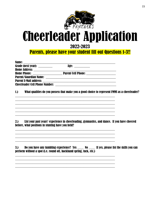

# **Cheerleader Application**

## 2022-2023

**Parents, please have your student fill out Questions 1-3!!** 

| Name:<br><u> 1980 - Jan Berlin, margaret amerikan bestean di sebagai personal di sebagai personal di sebagai personal di s</u> |                                       |  |
|--------------------------------------------------------------------------------------------------------------------------------|---------------------------------------|--|
| Grade (next year): __________                                                                                                  | Age:                                  |  |
|                                                                                                                                |                                       |  |
| <b>Home Phone:</b>                                                                                                             | Parent Cell Phone: __________________ |  |
|                                                                                                                                |                                       |  |
|                                                                                                                                |                                       |  |
| <b>Cheerleader Cell Phone Number:</b>                                                                                          |                                       |  |

 $1.$ What qualities do you possess that make you a good choice to represent FMMS as a cheerleader?

List your past years' experience in cheerleading, gymnastics, and dance. If you have cheered  $2.$ before, what positions in stunting have you held?

Do you have any tumbling experience? Yes \_\_\_\_\_ No \_\_\_\_\_ If yes, please list the skills you can  $3.$ perform without a spot (i.e. round off, backhand spring, tuck, etc.)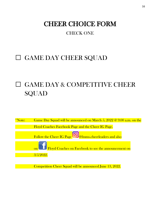# CHEER CHOICE FORM

## CHECK ONE

# □ GAME DAY CHEER SQUAD

# □ GAME DAY & COMPETITIVE CHEER SQUAD

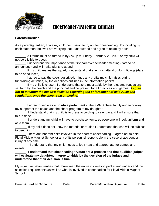

# Cheerleader/Parental Contract

#### **Parent/Guardian:**

As a parent/guardian, I give my child permission to try out for cheerleading. By initialing by each statement below, I am verifying that I understand and agree to abide by each:

All forms must be turned in by 3:45 p.m. Friday, February 25, 2022 or my child will not be eligible to tryout.

I understand the importance of the first parent/cheerleader meeting (date to be announced) and will make plans to attend.

If my child makes the squad, I understand that she must attend uniform fittings (date to be announced).

I agree to pay the costs described, minus any profits my child raises during fundraising activities, by the deadlines outlined in the information packet.

If my child is chosen, I understand that she must abide by the rules and regulations set forth by the coach and the principal and be present for all practices and games. *I agree not to question the coach's decision regarding the enforcement of said rules and regulations once the cheer season begins.*

\_\_\_\_\_\_ I agree to serve as a **positive participant** in the FMMS cheer family and to convey my support of the coach and the cheer program to my daughter.

I Understand that my child is to dress according to calendar and I will ensure that this is done.

\_\_\_\_\_\_\_ I understand my child will have to purchase items, so everyone will look uniform and as a team.

If my child does not know the material or routine I understand that she will be subject to benching.

\_\_\_\_\_\_ There are inherent risks involved in the sport of cheerleading. I agree not to hold Floyd Middle Magnet School or any of its personnel responsible in the case of accident or injury at any time.

\_\_\_\_\_\_\_\_ I understand that my child needs to look neat and appropriate for games and events.

\_\_\_\_\_\_ **I understand that cheerleading tryouts are a process and that qualified judges will evaluate my daughter. I agree to abide by the decision of the judges and understand that their decision is final.**

My signature below verifies that I have read the entire information packet and understand the selection requirements as well as what is involved in cheerleading for Floyd Middle Magnet School.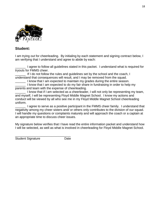

#### **Student:**

I am trying out for cheerleading. By initialing by each statement and signing contract below, I am verifying that I understand and agree to abide by each:

I agree to follow all guidelines stated in this packet. I understand what is required for tryouts for FMMS cheer.

\_\_\_\_\_\_ If I do not follow the rules and guidelines set by the school and the coach, I understand that consequences will result, and I may be removed from the squad.

\_\_\_\_\_\_ I know that I am expected to maintain my grades during the entire season.

\_\_\_\_\_\_ I know that I am expected to do my fair share in fundraising in order to help my parents and team with the expense of cheerleading.

I know that if I am selected as a cheerleader, I will not only be representing my team, and myself, I will be representing Floyd Middle Magnet School. I know my actions and conduct will be viewed by all who see me in my Floyd Middle Magnet School cheerleading uniform.

\_\_\_\_\_\_ I agree to serve as a positive participant in the FMMS cheer family. I understand that negativity among my cheer sisters and/ or others only contributes to the division of our squad. I will handle my questions or complaints maturely and will approach the coach or a captain at an appropriate time to discuss cheer issues.

My signature below verifies that I have read the entire information packet and understand how I will be selected, as well as what is involved in cheerleading for Floyd Middle Magnet School.

Student Signature Date

\_\_\_\_\_\_\_\_\_\_\_\_\_\_\_\_\_\_\_\_\_\_\_\_\_\_\_\_\_\_\_\_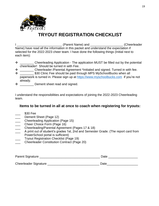

# **TRYOUT REGISTRATION CHECKLIST**

I contract a set of the Cheenleader (Parent Name) and  $\Gamma$  (Cheenleader Name) have read all the information in this packet and understand the expectation if selected for the 2022-2023 cheer team. I have done the following things (Initial next to each item):

- ❖ \_\_\_\_\_\_\_\_ Cheerleading Application The application MUST be filled out by the potential cheerleader! Should be turned in with Fee.
- ❖ \_\_\_\_\_\_\_\_ Cheerleader /Parental Agreement \*Initialed and signed. Turned in with fee.
- ❖ \_\_\_\_\_\_\_\_ \$30 Clinic Fee should be paid through MPS MySchoolBucks when all paperwork is turned in. Please sign up at [https://www.myschoolbucks.com](https://www.myschoolbucks.com/) if you're not already.
- ❖ \_\_\_\_\_\_\_\_ Demerit sheet read and signed.

I understand the responsibilities and expectations of joining the 2022-2023 Cheerleading team.

#### **Items to be turned in all at once to coach when registering for tryouts:**

- $$30$  Fee
- Demerit Sheet (Page 12)
- Cheerleading Application (Page 15)
- \_\_\_ Cheer Choice Form (Page 16)
- \_\_\_ Cheerleading/Parental Agreement (Pages 17 & 18)
- A print out of student's grades 1st, 2nd and Semester Grade. (The report card from PowerSchool portal is sufficient)
- Tryout Registration Checklist (Page 19)
- \_\_\_ Cheerleader Constitution Contract (Page 20)

| Parent Signature      | Date |
|-----------------------|------|
|                       |      |
| Cheerleader Signature | Date |